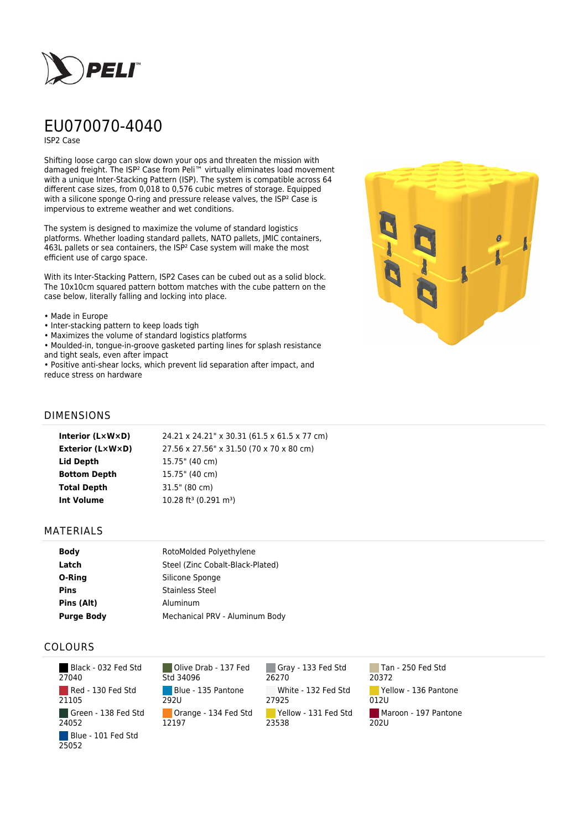

# EU070070-4040

ISP2 Case

Shifting loose cargo can slow down your ops and threaten the mission with damaged freight. The ISP² Case from Peli™ virtually eliminates load movement with a unique Inter-Stacking Pattern (ISP). The system is compatible across 64 different case sizes, from 0,018 to 0,576 cubic metres of storage. Equipped with a silicone sponge O-ring and pressure release valves, the ISP<sup>2</sup> Case is impervious to extreme weather and wet conditions.

The system is designed to maximize the volume of standard logistics platforms. Whether loading standard pallets, NATO pallets, JMIC containers, 463L pallets or sea containers, the ISP² Case system will make the most efficient use of cargo space.

With its Inter-Stacking Pattern, ISP2 Cases can be cubed out as a solid block. The 10x10cm squared pattern bottom matches with the cube pattern on the case below, literally falling and locking into place.

- Made in Europe
- Inter-stacking pattern to keep loads tigh
- Maximizes the volume of standard logistics platforms
- Moulded-in, tongue-in-groove gasketed parting lines for splash resistance and tight seals, even after impact

• Positive anti-shear locks, which prevent lid separation after impact, and reduce stress on hardware



#### DIMENSIONS

| Interior (LxWxD)        | 24.21 x 24.21" x 30.31 (61.5 x 61.5 x 77 cm)  |
|-------------------------|-----------------------------------------------|
| <b>Exterior (L×W×D)</b> | 27.56 x 27.56" x 31.50 (70 x 70 x 80 cm)      |
| Lid Depth               | 15.75" (40 cm)                                |
| <b>Bottom Depth</b>     | 15.75" (40 cm)                                |
| <b>Total Depth</b>      | 31.5" (80 cm)                                 |
| Int Volume              | 10.28 ft <sup>3</sup> (0.291 m <sup>3</sup> ) |
|                         |                                               |

#### MATERIALS

| <b>Body</b>       | RotoMolded Polyethylene          |
|-------------------|----------------------------------|
| Latch             | Steel (Zinc Cobalt-Black-Plated) |
| O-Ring            | Silicone Sponge                  |
| <b>Pins</b>       | <b>Stainless Steel</b>           |
| Pins (Alt)        | Aluminum                         |
| <b>Purge Body</b> | Mechanical PRV - Aluminum Body   |

#### COLOURS

 Black - 032 Fed Std 27040 Red - 130 Fed Std 21105 Green - 138 Fed Std 24052 Blue - 101 Fed Std 25052

Olive Drab - 137 Fed Std 34096 Blue - 135 Pantone 292U Orange - 134 Fed Std 12197

Gray - 133 Fed Std 26270 White - 132 Fed Std 27925 Yellow - 131 Fed Std 23538

Tan - 250 Fed Std 20372 Yellow - 136 Pantone 012U Maroon - 197 Pantone  $202U$